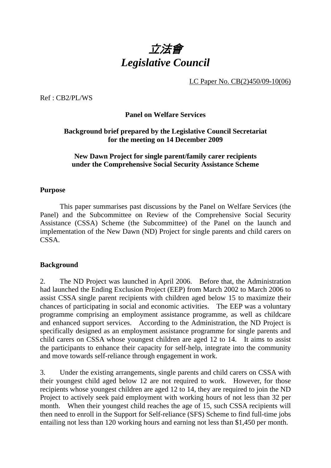

LC Paper No. CB(2)450/09-10(06)

Ref : CB2/PL/WS

### **Panel on Welfare Services**

## **Background brief prepared by the Legislative Council Secretariat for the meeting on 14 December 2009**

#### **New Dawn Project for single parent/family carer recipients under the Comprehensive Social Security Assistance Scheme**

#### **Purpose**

This paper summarises past discussions by the Panel on Welfare Services (the Panel) and the Subcommittee on Review of the Comprehensive Social Security Assistance (CSSA) Scheme (the Subcommittee) of the Panel on the launch and implementation of the New Dawn (ND) Project for single parents and child carers on CSSA.

#### **Background**

2. The ND Project was launched in April 2006. Before that, the Administration had launched the Ending Exclusion Project (EEP) from March 2002 to March 2006 to assist CSSA single parent recipients with children aged below 15 to maximize their chances of participating in social and economic activities. The EEP was a voluntary programme comprising an employment assistance programme, as well as childcare and enhanced support services. According to the Administration, the ND Project is specifically designed as an employment assistance programme for single parents and child carers on CSSA whose youngest children are aged 12 to 14. It aims to assist the participants to enhance their capacity for self-help, integrate into the community and move towards self-reliance through engagement in work.

3. Under the existing arrangements, single parents and child carers on CSSA with their youngest child aged below 12 are not required to work. However, for those recipients whose youngest children are aged 12 to 14, they are required to join the ND Project to actively seek paid employment with working hours of not less than 32 per month. When their youngest child reaches the age of 15, such CSSA recipients will then need to enroll in the Support for Self-reliance (SFS) Scheme to find full-time jobs entailing not less than 120 working hours and earning not less than \$1,450 per month.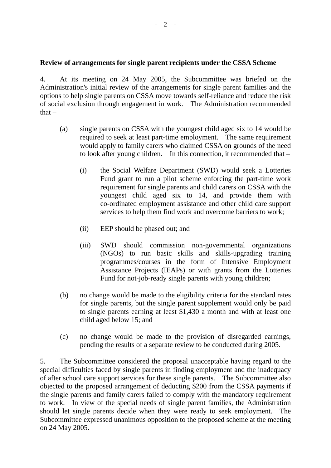#### **Review of arrangements for single parent recipients under the CSSA Scheme**

4. At its meeting on 24 May 2005, the Subcommittee was briefed on the Administration's initial review of the arrangements for single parent families and the options to help single parents on CSSA move towards self-reliance and reduce the risk of social exclusion through engagement in work. The Administration recommended that $-$ 

- (a) single parents on CSSA with the youngest child aged six to 14 would be required to seek at least part-time employment. The same requirement would apply to family carers who claimed CSSA on grounds of the need to look after young children. In this connection, it recommended that –
	- (i) the Social Welfare Department (SWD) would seek a Lotteries Fund grant to run a pilot scheme enforcing the part-time work requirement for single parents and child carers on CSSA with the youngest child aged six to 14, and provide them with co-ordinated employment assistance and other child care support services to help them find work and overcome barriers to work;
	- (ii) EEP should be phased out; and
	- (iii) SWD should commission non-governmental organizations (NGOs) to run basic skills and skills-upgrading training programmes/courses in the form of Intensive Employment Assistance Projects (IEAPs) or with grants from the Lotteries Fund for not-job-ready single parents with young children;
- (b) no change would be made to the eligibility criteria for the standard rates for single parents, but the single parent supplement would only be paid to single parents earning at least \$1,430 a month and with at least one child aged below 15; and
- (c) no change would be made to the provision of disregarded earnings, pending the results of a separate review to be conducted during 2005.

5. The Subcommittee considered the proposal unacceptable having regard to the special difficulties faced by single parents in finding employment and the inadequacy of after school care support services for these single parents. The Subcommittee also objected to the proposed arrangement of deducting \$200 from the CSSA payments if the single parents and family carers failed to comply with the mandatory requirement to work. In view of the special needs of single parent families, the Administration should let single parents decide when they were ready to seek employment. The Subcommittee expressed unanimous opposition to the proposed scheme at the meeting on 24 May 2005.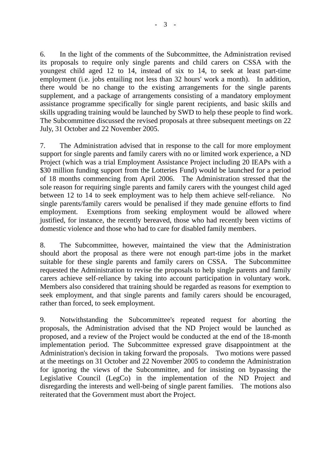6. In the light of the comments of the Subcommittee, the Administration revised its proposals to require only single parents and child carers on CSSA with the youngest child aged 12 to 14, instead of six to 14, to seek at least part-time employment (i.e. jobs entailing not less than 32 hours' work a month). In addition, there would be no change to the existing arrangements for the single parents supplement, and a package of arrangements consisting of a mandatory employment assistance programme specifically for single parent recipients, and basic skills and skills upgrading training would be launched by SWD to help these people to find work. The Subcommittee discussed the revised proposals at three subsequent meetings on 22 July, 31 October and 22 November 2005.

7. The Administration advised that in response to the call for more employment support for single parents and family carers with no or limited work experience, a ND Project (which was a trial Employment Assistance Project including 20 IEAPs with a \$30 million funding support from the Lotteries Fund) would be launched for a period of 18 months commencing from April 2006. The Administration stressed that the sole reason for requiring single parents and family carers with the youngest child aged between 12 to 14 to seek employment was to help them achieve self-reliance. No single parents/family carers would be penalised if they made genuine efforts to find employment. Exemptions from seeking employment would be allowed where justified, for instance, the recently bereaved, those who had recently been victims of domestic violence and those who had to care for disabled family members.

8. The Subcommittee, however, maintained the view that the Administration should abort the proposal as there were not enough part-time jobs in the market suitable for these single parents and family carers on CSSA. The Subcommittee requested the Administration to revise the proposals to help single parents and family carers achieve self-reliance by taking into account participation in voluntary work. Members also considered that training should be regarded as reasons for exemption to seek employment, and that single parents and family carers should be encouraged, rather than forced, to seek employment.

9. Notwithstanding the Subcommittee's repeated request for aborting the proposals, the Administration advised that the ND Project would be launched as proposed, and a review of the Project would be conducted at the end of the 18-month implementation period. The Subcommittee expressed grave disappointment at the Administration's decision in taking forward the proposals. Two motions were passed at the meetings on 31 October and 22 November 2005 to condemn the Administration for ignoring the views of the Subcommittee, and for insisting on bypassing the Legislative Council (LegCo) in the implementation of the ND Project and disregarding the interests and well-being of single parent families. The motions also reiterated that the Government must abort the Project.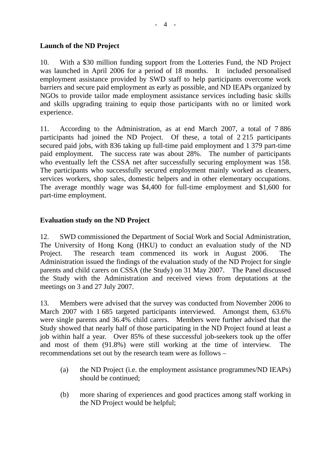## **Launch of the ND Project**

10. With a \$30 million funding support from the Lotteries Fund, the ND Project was launched in April 2006 for a period of 18 months. It included personalised employment assistance provided by SWD staff to help participants overcome work barriers and secure paid employment as early as possible, and ND IEAPs organized by NGOs to provide tailor made employment assistance services including basic skills and skills upgrading training to equip those participants with no or limited work experience.

11. According to the Administration, as at end March 2007, a total of 7,886 participants had joined the ND Project. Of these, a total of 2.215 participants secured paid jobs, with 836 taking up full-time paid employment and 1,379 part-time paid employment. The success rate was about 28%. The number of participants who eventually left the CSSA net after successfully securing employment was 158. The participants who successfully secured employment mainly worked as cleaners, services workers, shop sales, domestic helpers and in other elementary occupations. The average monthly wage was \$4,400 for full-time employment and \$1,600 for part-time employment.

## **Evaluation study on the ND Project**

12. SWD commissioned the Department of Social Work and Social Administration, The University of Hong Kong (HKU) to conduct an evaluation study of the ND Project. The research team commenced its work in August 2006. The Administration issued the findings of the evaluation study of the ND Project for single parents and child carers on CSSA (the Study) on 31 May 2007. The Panel discussed the Study with the Administration and received views from deputations at the meetings on 3 and 27 July 2007.

13. Members were advised that the survey was conducted from November 2006 to March 2007 with 1.685 targeted participants interviewed. Amongst them, 63.6% were single parents and 36.4% child carers. Members were further advised that the Study showed that nearly half of those participating in the ND Project found at least a job within half a year. Over 85% of these successful job-seekers took up the offer and most of them (91.8%) were still working at the time of interview. The recommendations set out by the research team were as follows –

- (a) the ND Project (i.e. the employment assistance programmes/ND IEAPs) should be continued;
- (b) more sharing of experiences and good practices among staff working in the ND Project would be helpful;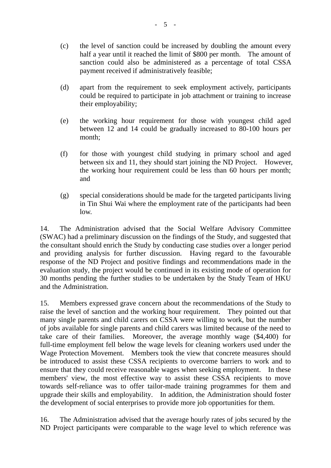- (c) the level of sanction could be increased by doubling the amount every half a year until it reached the limit of \$800 per month. The amount of sanction could also be administered as a percentage of total CSSA payment received if administratively feasible;
- (d) apart from the requirement to seek employment actively, participants could be required to participate in job attachment or training to increase their employability;
- (e) the working hour requirement for those with youngest child aged between 12 and 14 could be gradually increased to 80-100 hours per month;
- (f) for those with youngest child studying in primary school and aged between six and 11, they should start joining the ND Project. However, the working hour requirement could be less than 60 hours per month; and
- (g) special considerations should be made for the targeted participants living in Tin Shui Wai where the employment rate of the participants had been low.

14. The Administration advised that the Social Welfare Advisory Committee (SWAC) had a preliminary discussion on the findings of the Study, and suggested that the consultant should enrich the Study by conducting case studies over a longer period and providing analysis for further discussion. Having regard to the favourable response of the ND Project and positive findings and recommendations made in the evaluation study, the project would be continued in its existing mode of operation for 30 months pending the further studies to be undertaken by the Study Team of HKU and the Administration.

15. Members expressed grave concern about the recommendations of the Study to raise the level of sanction and the working hour requirement. They pointed out that many single parents and child carers on CSSA were willing to work, but the number of jobs available for single parents and child carers was limited because of the need to take care of their families. Moreover, the average monthly wage (\$4,400) for full-time employment fell below the wage levels for cleaning workers used under the Wage Protection Movement. Members took the view that concrete measures should be introduced to assist these CSSA recipients to overcome barriers to work and to ensure that they could receive reasonable wages when seeking employment. In these members' view, the most effective way to assist these CSSA recipients to move towards self-reliance was to offer tailor-made training programmes for them and upgrade their skills and employability. In addition, the Administration should foster the development of social enterprises to provide more job opportunities for them.

16. The Administration advised that the average hourly rates of jobs secured by the ND Project participants were comparable to the wage level to which reference was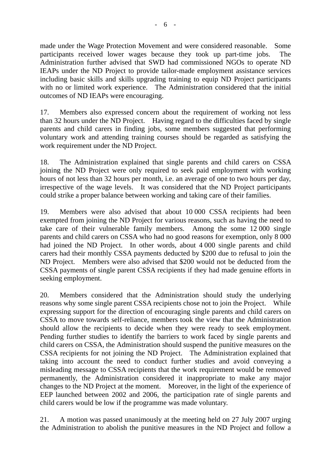made under the Wage Protection Movement and were considered reasonable. Some participants received lower wages because they took up part-time jobs. The Administration further advised that SWD had commissioned NGOs to operate ND IEAPs under the ND Project to provide tailor-made employment assistance services including basic skills and skills upgrading training to equip ND Project participants with no or limited work experience. The Administration considered that the initial outcomes of ND IEAPs were encouraging.

17. Members also expressed concern about the requirement of working not less than 32 hours under the ND Project. Having regard to the difficulties faced by single parents and child carers in finding jobs, some members suggested that performing voluntary work and attending training courses should be regarded as satisfying the work requirement under the ND Project.

18. The Administration explained that single parents and child carers on CSSA joining the ND Project were only required to seek paid employment with working hours of not less than 32 hours per month, i.e. an average of one to two hours per day, irrespective of the wage levels. It was considered that the ND Project participants could strike a proper balance between working and taking care of their families.

19. Members were also advised that about 10,000 CSSA recipients had been exempted from joining the ND Project for various reasons, such as having the need to take care of their vulnerable family members. Among the some 12.000 single parents and child carers on CSSA who had no good reasons for exemption, only 8,000 had joined the ND Project. In other words, about 4,000 single parents and child carers had their monthly CSSA payments deducted by \$200 due to refusal to join the ND Project. Members were also advised that \$200 would not be deducted from the CSSA payments of single parent CSSA recipients if they had made genuine efforts in seeking employment.

20. Members considered that the Administration should study the underlying reasons why some single parent CSSA recipients chose not to join the Project. While expressing support for the direction of encouraging single parents and child carers on CSSA to move towards self-reliance, members took the view that the Administration should allow the recipients to decide when they were ready to seek employment. Pending further studies to identify the barriers to work faced by single parents and child carers on CSSA, the Administration should suspend the punitive measures on the CSSA recipients for not joining the ND Project. The Administration explained that taking into account the need to conduct further studies and avoid conveying a misleading message to CSSA recipients that the work requirement would be removed permanently, the Administration considered it inappropriate to make any major changes to the ND Project at the moment. Moreover, in the light of the experience of EEP launched between 2002 and 2006, the participation rate of single parents and child carers would be low if the programme was made voluntary.

21. A motion was passed unanimously at the meeting held on 27 July 2007 urging the Administration to abolish the punitive measures in the ND Project and follow a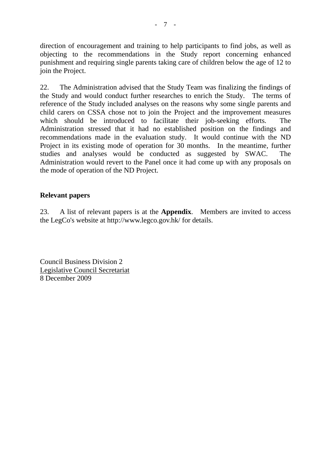direction of encouragement and training to help participants to find jobs, as well as objecting to the recommendations in the Study report concerning enhanced punishment and requiring single parents taking care of children below the age of 12 to join the Project.

22. The Administration advised that the Study Team was finalizing the findings of the Study and would conduct further researches to enrich the Study. The terms of reference of the Study included analyses on the reasons why some single parents and child carers on CSSA chose not to join the Project and the improvement measures which should be introduced to facilitate their job-seeking efforts. The Administration stressed that it had no established position on the findings and recommendations made in the evaluation study. It would continue with the ND Project in its existing mode of operation for 30 months. In the meantime, further studies and analyses would be conducted as suggested by SWAC. The Administration would revert to the Panel once it had come up with any proposals on the mode of operation of the ND Project.

## **Relevant papers**

23. A list of relevant papers is at the **Appendix**. Members are invited to access the LegCo's website at http://www.legco.gov.hk/ for details.

Council Business Division 2 Legislative Council Secretariat 8 December 2009